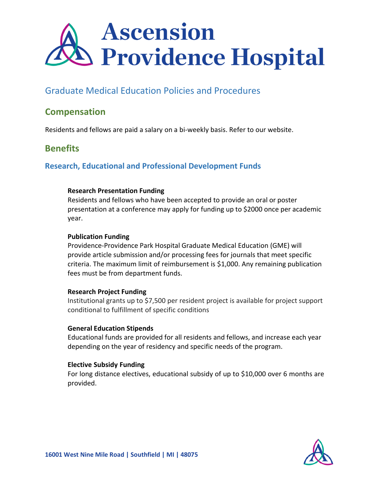

## Graduate Medical Education Policies and Procedures

## **Compensation**

Residents and fellows are paid a salary on a bi-weekly basis. Refer to our website.

## **Benefits**

## **Research, Educational and Professional Development Funds**

### **Research Presentation Funding**

Residents and fellows who have been accepted to provide an oral or poster presentation at a conference may apply for funding up to \$2000 once per academic year.

### **Publication Funding**

Providence-Providence Park Hospital Graduate Medical Education (GME) will provide article submission and/or processing fees for journals that meet specific criteria. The maximum limit of reimbursement is \$1,000. Any remaining publication fees must be from department funds.

### **Research Project Funding**

Institutional grants up to \$7,500 per resident project is available for project support conditional to fulfillment of specific conditions

### **General Education Stipends**

Educational funds are provided for all residents and fellows, and increase each year depending on the year of residency and specific needs of the program.

### **Elective Subsidy Funding**

For long distance electives, educational subsidy of up to \$10,000 over 6 months are provided.

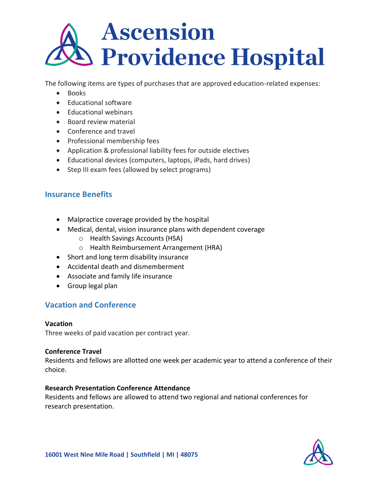# **Ascension Providence Hospital**

The following items are types of purchases that are approved education-related expenses:

- Books
- Educational software
- Educational webinars
- Board review material
- Conference and travel
- Professional membership fees
- Application & professional liability fees for outside electives
- Educational devices (computers, laptops, iPads, hard drives)
- Step III exam fees (allowed by select programs)

## **Insurance Benefits**

- Malpractice coverage provided by the hospital
- Medical, dental, vision insurance plans with dependent coverage
	- o Health Savings Accounts (HSA)
	- o Health Reimbursement Arrangement (HRA)
- Short and long term disability insurance
- Accidental death and dismemberment
- Associate and family life insurance
- Group legal plan

## **Vacation and Conference**

### **Vacation**

Three weeks of paid vacation per contract year.

## **Conference Travel**

Residents and fellows are allotted one week per academic year to attend a conference of their choice.

## **Research Presentation Conference Attendance**

Residents and fellows are allowed to attend two regional and national conferences for research presentation.